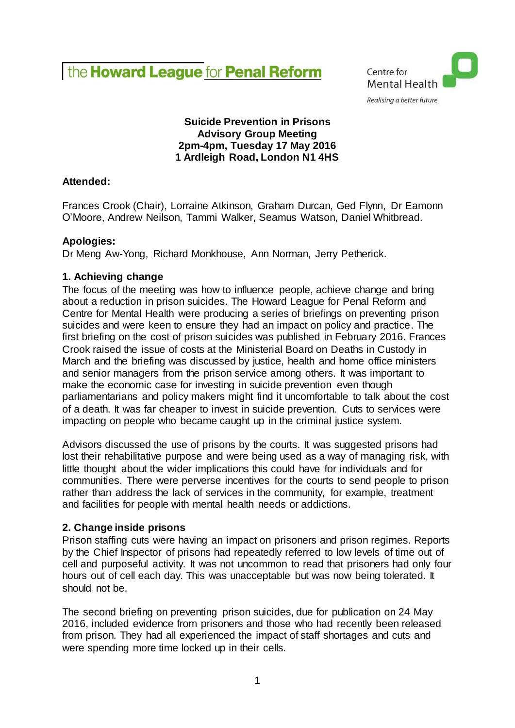# the Howard League for Penal Reform



# **Suicide Prevention in Prisons Advisory Group Meeting 2pm-4pm, Tuesday 17 May 2016 1 Ardleigh Road, London N1 4HS**

# **Attended:**

Frances Crook (Chair), Lorraine Atkinson, Graham Durcan, Ged Flynn, Dr Eamonn O'Moore, Andrew Neilson, Tammi Walker, Seamus Watson, Daniel Whitbread.

# **Apologies:**

Dr Meng Aw-Yong, Richard Monkhouse, Ann Norman, Jerry Petherick.

# **1. Achieving change**

The focus of the meeting was how to influence people, achieve change and bring about a reduction in prison suicides. The Howard League for Penal Reform and Centre for Mental Health were producing a series of briefings on preventing prison suicides and were keen to ensure they had an impact on policy and practice. The first briefing on the cost of prison suicides was published in February 2016. Frances Crook raised the issue of costs at the Ministerial Board on Deaths in Custody in March and the briefing was discussed by justice, health and home office ministers and senior managers from the prison service among others. It was important to make the economic case for investing in suicide prevention even though parliamentarians and policy makers might find it uncomfortable to talk about the cost of a death. It was far cheaper to invest in suicide prevention. Cuts to services were impacting on people who became caught up in the criminal justice system.

Advisors discussed the use of prisons by the courts. It was suggested prisons had lost their rehabilitative purpose and were being used as a way of managing risk, with little thought about the wider implications this could have for individuals and for communities. There were perverse incentives for the courts to send people to prison rather than address the lack of services in the community, for example, treatment and facilities for people with mental health needs or addictions.

# **2. Change inside prisons**

Prison staffing cuts were having an impact on prisoners and prison regimes. Reports by the Chief Inspector of prisons had repeatedly referred to low levels of time out of cell and purposeful activity. It was not uncommon to read that prisoners had only four hours out of cell each day. This was unacceptable but was now being tolerated. It should not be.

The second briefing on preventing prison suicides, due for publication on 24 May 2016, included evidence from prisoners and those who had recently been released from prison. They had all experienced the impact of staff shortages and cuts and were spending more time locked up in their cells.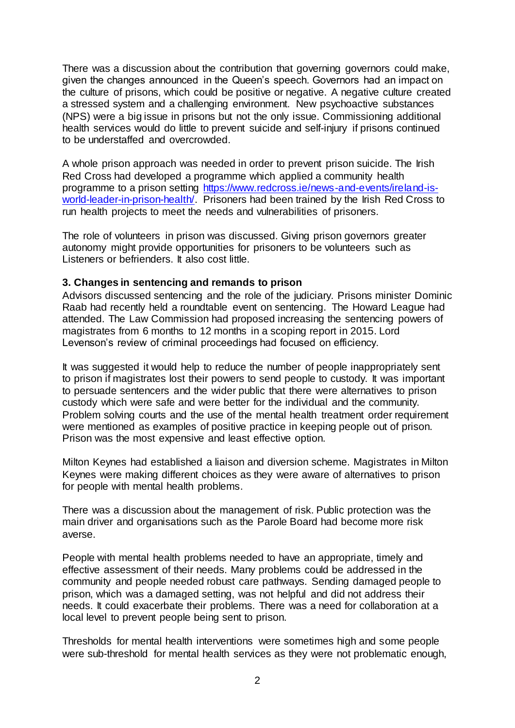There was a discussion about the contribution that governing governors could make, given the changes announced in the Queen's speech. Governors had an impact on the culture of prisons, which could be positive or negative. A negative culture created a stressed system and a challenging environment. New psychoactive substances (NPS) were a big issue in prisons but not the only issue. Commissioning additional health services would do little to prevent suicide and self-injury if prisons continued to be understaffed and overcrowded.

A whole prison approach was needed in order to prevent prison suicide. The Irish Red Cross had developed a programme which applied a community health programme to a prison setting [https://www.redcross.ie/news-and-events/ireland-is](https://www.redcross.ie/news-and-events/ireland-is-world-leader-in-prison-health/)[world-leader-in-prison-health/.](https://www.redcross.ie/news-and-events/ireland-is-world-leader-in-prison-health/) Prisoners had been trained by the Irish Red Cross to run health projects to meet the needs and vulnerabilities of prisoners.

The role of volunteers in prison was discussed. Giving prison governors greater autonomy might provide opportunities for prisoners to be volunteers such as Listeners or befrienders. It also cost little.

#### **3. Changes in sentencing and remands to prison**

Advisors discussed sentencing and the role of the judiciary. Prisons minister Dominic Raab had recently held a roundtable event on sentencing. The Howard League had attended. The Law Commission had proposed increasing the sentencing powers of magistrates from 6 months to 12 months in a scoping report in 2015. Lord Levenson's review of criminal proceedings had focused on efficiency.

It was suggested it would help to reduce the number of people inappropriately sent to prison if magistrates lost their powers to send people to custody. It was important to persuade sentencers and the wider public that there were alternatives to prison custody which were safe and were better for the individual and the community. Problem solving courts and the use of the mental health treatment order requirement were mentioned as examples of positive practice in keeping people out of prison. Prison was the most expensive and least effective option.

Milton Keynes had established a liaison and diversion scheme. Magistrates in Milton Keynes were making different choices as they were aware of alternatives to prison for people with mental health problems.

There was a discussion about the management of risk. Public protection was the main driver and organisations such as the Parole Board had become more risk averse.

People with mental health problems needed to have an appropriate, timely and effective assessment of their needs. Many problems could be addressed in the community and people needed robust care pathways. Sending damaged people to prison, which was a damaged setting, was not helpful and did not address their needs. It could exacerbate their problems. There was a need for collaboration at a local level to prevent people being sent to prison.

Thresholds for mental health interventions were sometimes high and some people were sub-threshold for mental health services as they were not problematic enough,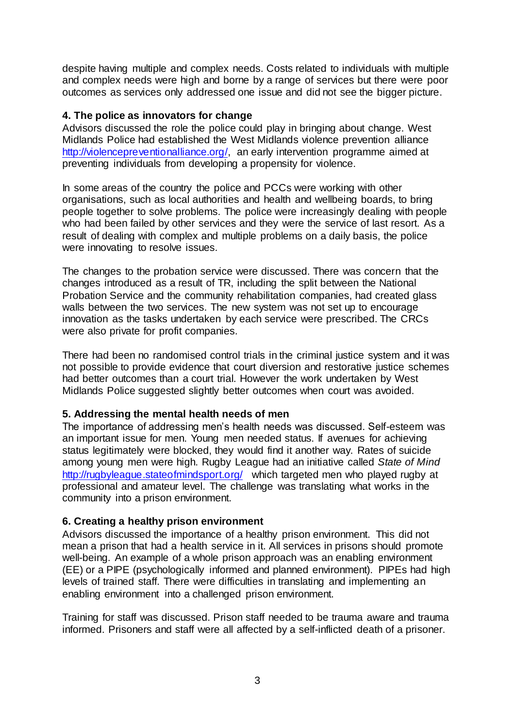despite having multiple and complex needs. Costs related to individuals with multiple and complex needs were high and borne by a range of services but there were poor outcomes as services only addressed one issue and did not see the bigger picture.

#### **4. The police as innovators for change**

Advisors discussed the role the police could play in bringing about change. West Midlands Police had established the West Midlands violence prevention alliance [http://violencepreventionalliance.org/,](http://violencepreventionalliance.org/) an early intervention programme aimed at preventing individuals from developing a propensity for violence.

In some areas of the country the police and PCCs were working with other organisations, such as local authorities and health and wellbeing boards, to bring people together to solve problems. The police were increasingly dealing with people who had been failed by other services and they were the service of last resort. As a result of dealing with complex and multiple problems on a daily basis, the police were innovating to resolve issues.

The changes to the probation service were discussed. There was concern that the changes introduced as a result of TR, including the split between the National Probation Service and the community rehabilitation companies, had created glass walls between the two services. The new system was not set up to encourage innovation as the tasks undertaken by each service were prescribed. The CRCs were also private for profit companies.

There had been no randomised control trials in the criminal justice system and it was not possible to provide evidence that court diversion and restorative justice schemes had better outcomes than a court trial. However the work undertaken by West Midlands Police suggested slightly better outcomes when court was avoided.

# **5. Addressing the mental health needs of men**

The importance of addressing men's health needs was discussed. Self-esteem was an important issue for men. Young men needed status. If avenues for achieving status legitimately were blocked, they would find it another way. Rates of suicide among young men were high. Rugby League had an initiative called *State of Mind* <http://rugbyleague.stateofmindsport.org/> which targeted men who played rugby at professional and amateur level. The challenge was translating what works in the community into a prison environment.

# **6. Creating a healthy prison environment**

Advisors discussed the importance of a healthy prison environment. This did not mean a prison that had a health service in it. All services in prisons should promote well-being. An example of a whole prison approach was an enabling environment (EE) or a PIPE (psychologically informed and planned environment). PIPEs had high levels of trained staff. There were difficulties in translating and implementing an enabling environment into a challenged prison environment.

Training for staff was discussed. Prison staff needed to be trauma aware and trauma informed. Prisoners and staff were all affected by a self-inflicted death of a prisoner.